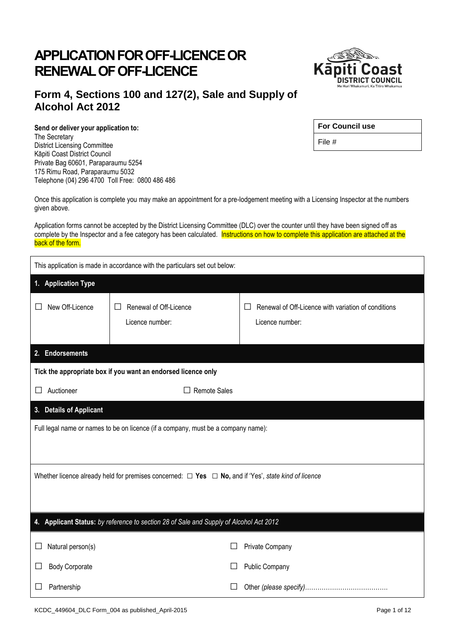## **RENEWAL OF OFF-LICENCE**

**APPLICATION FOR OFF-LICENCE OR**

# **RICT COUNCIL**

#### **Form 4, Sections 100 and 127(2), Sale and Supply of Alcohol Act 2012**

**Send or deliver your application to:** The Secretary District Licensing Committee Kāpiti Coast District Council Private Bag 60601, Paraparaumu 5254 175 Rimu Road, Paraparaumu 5032 Telephone (04) 296 4700 Toll Free: 0800 486 486

| <b>For Council use</b> |  |
|------------------------|--|
|                        |  |

File #

Once this application is complete you may make an appointment for a pre-lodgement meeting with a Licensing Inspector at the numbers given above.

Application forms cannot be accepted by the District Licensing Committee (DLC) over the counter until they have been signed off as complete by the Inspector and a fee category has been calculated. Instructions on how to complete this application are attached at the back of the form.

| This application is made in accordance with the particulars set out below:                                     |                                                                                        |                                                                        |  |  |
|----------------------------------------------------------------------------------------------------------------|----------------------------------------------------------------------------------------|------------------------------------------------------------------------|--|--|
| 1. Application Type                                                                                            |                                                                                        |                                                                        |  |  |
| New Off-Licence                                                                                                | Renewal of Off-Licence<br>$\Box$<br>Licence number:                                    | Renewal of Off-Licence with variation of conditions<br>Licence number: |  |  |
| 2. Endorsements                                                                                                |                                                                                        |                                                                        |  |  |
|                                                                                                                | Tick the appropriate box if you want an endorsed licence only                          |                                                                        |  |  |
| Auctioneer<br>H                                                                                                | <b>Remote Sales</b>                                                                    |                                                                        |  |  |
| 3. Details of Applicant                                                                                        |                                                                                        |                                                                        |  |  |
| Full legal name or names to be on licence (if a company, must be a company name):                              |                                                                                        |                                                                        |  |  |
| Whether licence already held for premises concerned: $\Box$ Yes $\Box$ No, and if 'Yes', state kind of licence |                                                                                        |                                                                        |  |  |
|                                                                                                                | 4. Applicant Status: by reference to section 28 of Sale and Supply of Alcohol Act 2012 |                                                                        |  |  |
| Natural person(s)<br>ப                                                                                         |                                                                                        | Private Company                                                        |  |  |
| <b>Body Corporate</b><br>ப                                                                                     |                                                                                        | Public Company                                                         |  |  |
| Partnership                                                                                                    |                                                                                        |                                                                        |  |  |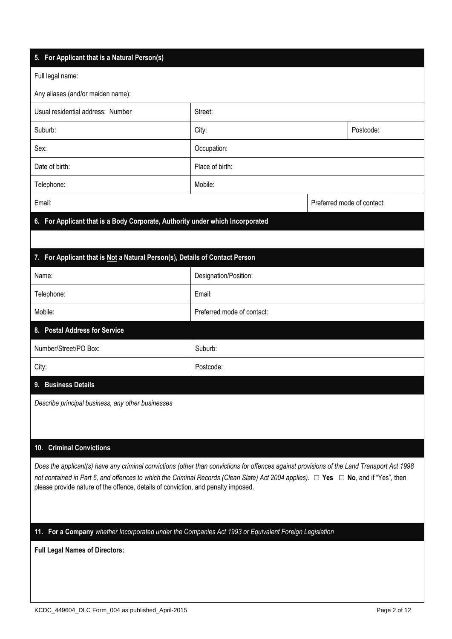| 5. For Applicant that is a Natural Person(s)                                                                                                                                                                                                                                                                                                                                     |                            |                            |
|----------------------------------------------------------------------------------------------------------------------------------------------------------------------------------------------------------------------------------------------------------------------------------------------------------------------------------------------------------------------------------|----------------------------|----------------------------|
| Full legal name:                                                                                                                                                                                                                                                                                                                                                                 |                            |                            |
| Any aliases (and/or maiden name):                                                                                                                                                                                                                                                                                                                                                |                            |                            |
| Usual residential address: Number                                                                                                                                                                                                                                                                                                                                                | Street:                    |                            |
| Suburb:                                                                                                                                                                                                                                                                                                                                                                          | City:                      | Postcode:                  |
| Sex:                                                                                                                                                                                                                                                                                                                                                                             | Occupation:                |                            |
| Date of birth:                                                                                                                                                                                                                                                                                                                                                                   | Place of birth:            |                            |
| Telephone:                                                                                                                                                                                                                                                                                                                                                                       | Mobile:                    |                            |
| Email:                                                                                                                                                                                                                                                                                                                                                                           |                            | Preferred mode of contact: |
| 6. For Applicant that is a Body Corporate, Authority under which Incorporated                                                                                                                                                                                                                                                                                                    |                            |                            |
|                                                                                                                                                                                                                                                                                                                                                                                  |                            |                            |
| 7. For Applicant that is Not a Natural Person(s), Details of Contact Person                                                                                                                                                                                                                                                                                                      |                            |                            |
| Name:                                                                                                                                                                                                                                                                                                                                                                            | Designation/Position:      |                            |
| Telephone:                                                                                                                                                                                                                                                                                                                                                                       | Email:                     |                            |
| Mobile:                                                                                                                                                                                                                                                                                                                                                                          | Preferred mode of contact: |                            |
| 8. Postal Address for Service                                                                                                                                                                                                                                                                                                                                                    |                            |                            |
| Number/Street/PO Box:                                                                                                                                                                                                                                                                                                                                                            | Suburb:                    |                            |
| City:                                                                                                                                                                                                                                                                                                                                                                            | Postcode:                  |                            |
| 9. Business Details                                                                                                                                                                                                                                                                                                                                                              |                            |                            |
| Describe principal business, any other businesses                                                                                                                                                                                                                                                                                                                                |                            |                            |
|                                                                                                                                                                                                                                                                                                                                                                                  |                            |                            |
| <b>Criminal Convictions</b><br>10.                                                                                                                                                                                                                                                                                                                                               |                            |                            |
|                                                                                                                                                                                                                                                                                                                                                                                  |                            |                            |
| Does the applicant(s) have any criminal convictions (other than convictions for offences against provisions of the Land Transport Act 1998<br>not contained in Part 6, and offences to which the Criminal Records (Clean Slate) Act 2004 applies). $\Box$ Yes $\Box$ No, and if "Yes", then<br>please provide nature of the offence, details of conviction, and penalty imposed. |                            |                            |
|                                                                                                                                                                                                                                                                                                                                                                                  |                            |                            |
|                                                                                                                                                                                                                                                                                                                                                                                  |                            |                            |
| 11. For a Company whether Incorporated under the Companies Act 1993 or Equivalent Foreign Legislation                                                                                                                                                                                                                                                                            |                            |                            |
| <b>Full Legal Names of Directors:</b>                                                                                                                                                                                                                                                                                                                                            |                            |                            |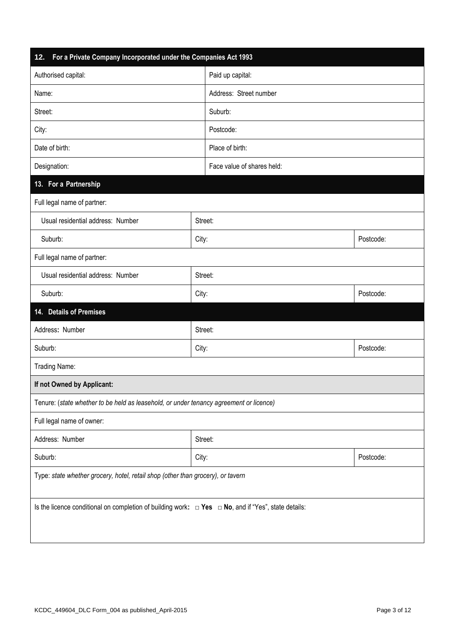| For a Private Company Incorporated under the Companies Act 1993<br>12.                 |         |                                                                                                               |           |  |
|----------------------------------------------------------------------------------------|---------|---------------------------------------------------------------------------------------------------------------|-----------|--|
| Authorised capital:                                                                    |         | Paid up capital:                                                                                              |           |  |
| Name:                                                                                  |         | Address: Street number                                                                                        |           |  |
| Street:                                                                                |         | Suburb:                                                                                                       |           |  |
| City:                                                                                  |         | Postcode:                                                                                                     |           |  |
| Date of birth:                                                                         |         | Place of birth:                                                                                               |           |  |
| Designation:                                                                           |         | Face value of shares held:                                                                                    |           |  |
| For a Partnership<br>13.                                                               |         |                                                                                                               |           |  |
| Full legal name of partner:                                                            |         |                                                                                                               |           |  |
| Usual residential address: Number                                                      | Street: |                                                                                                               |           |  |
| Suburb:                                                                                | City:   |                                                                                                               | Postcode: |  |
| Full legal name of partner:                                                            |         |                                                                                                               |           |  |
| Usual residential address: Number                                                      | Street: |                                                                                                               |           |  |
| Suburb:                                                                                | City:   |                                                                                                               | Postcode: |  |
| <b>Details of Premises</b><br>14.                                                      |         |                                                                                                               |           |  |
| Address: Number                                                                        | Street: |                                                                                                               |           |  |
| Suburb:                                                                                | City:   |                                                                                                               | Postcode: |  |
| Trading Name:                                                                          |         |                                                                                                               |           |  |
| If not Owned by Applicant:                                                             |         |                                                                                                               |           |  |
| Tenure: (state whether to be held as leasehold, or under tenancy agreement or licence) |         |                                                                                                               |           |  |
| Full legal name of owner:                                                              |         |                                                                                                               |           |  |
| Address: Number<br>Street:                                                             |         |                                                                                                               |           |  |
| Suburb:<br>City:                                                                       |         |                                                                                                               | Postcode: |  |
| Type: state whether grocery, hotel, retail shop (other than grocery), or tavern        |         |                                                                                                               |           |  |
|                                                                                        |         | Is the licence conditional on completion of building work: $\Box$ Yes $\Box$ No, and if "Yes", state details: |           |  |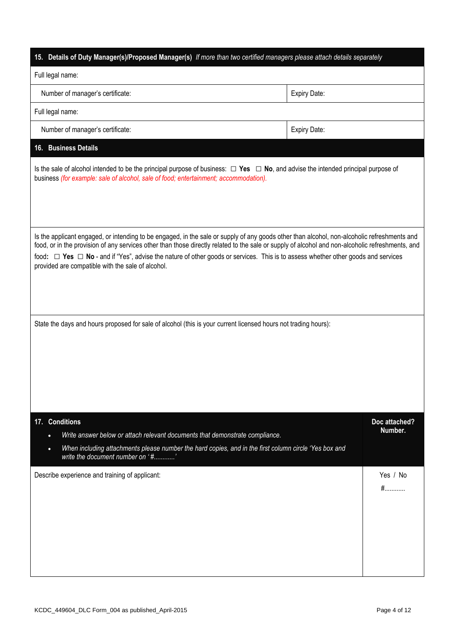| 15. Details of Duty Manager(s)/Proposed Manager(s) If more than two certified managers please attach details separately                                                                                                                                                                                                                                                                                                                                                                   |              |                          |
|-------------------------------------------------------------------------------------------------------------------------------------------------------------------------------------------------------------------------------------------------------------------------------------------------------------------------------------------------------------------------------------------------------------------------------------------------------------------------------------------|--------------|--------------------------|
| Full legal name:                                                                                                                                                                                                                                                                                                                                                                                                                                                                          |              |                          |
| Number of manager's certificate:                                                                                                                                                                                                                                                                                                                                                                                                                                                          | Expiry Date: |                          |
| Full legal name:                                                                                                                                                                                                                                                                                                                                                                                                                                                                          |              |                          |
| Number of manager's certificate:                                                                                                                                                                                                                                                                                                                                                                                                                                                          | Expiry Date: |                          |
| 16. Business Details                                                                                                                                                                                                                                                                                                                                                                                                                                                                      |              |                          |
| Is the sale of alcohol intended to be the principal purpose of business: $\Box$ Yes $\Box$ No, and advise the intended principal purpose of<br>business (for example: sale of alcohol, sale of food; entertainment; accommodation).                                                                                                                                                                                                                                                       |              |                          |
| Is the applicant engaged, or intending to be engaged, in the sale or supply of any goods other than alcohol, non-alcoholic refreshments and<br>food, or in the provision of any services other than those directly related to the sale or supply of alcohol and non-alcoholic refreshments, and<br>food: □ Yes □ No - and if "Yes", advise the nature of other goods or services. This is to assess whether other goods and services<br>provided are compatible with the sale of alcohol. |              |                          |
| State the days and hours proposed for sale of alcohol (this is your current licensed hours not trading hours):                                                                                                                                                                                                                                                                                                                                                                            |              |                          |
| 17. Conditions<br>Write answer below or attach relevant documents that demonstrate compliance.<br>When including attachments please number the hard copies, and in the first column circle 'Yes box and<br>write the document number on '#'                                                                                                                                                                                                                                               |              | Doc attached?<br>Number. |
| Describe experience and training of applicant:                                                                                                                                                                                                                                                                                                                                                                                                                                            |              | Yes / No<br>$#$          |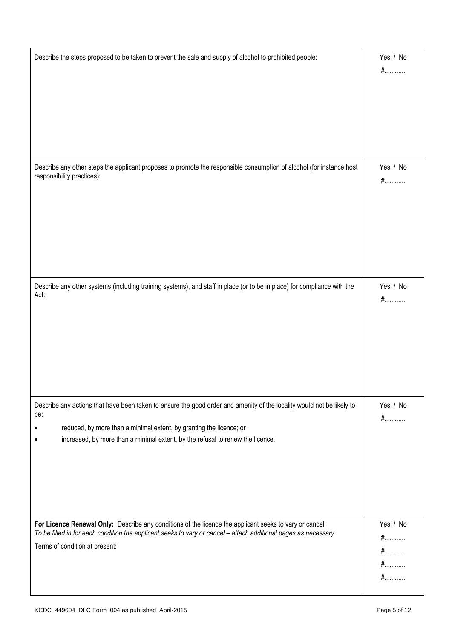| Describe the steps proposed to be taken to prevent the sale and supply of alcohol to prohibited people:                                                                                                                                                                               | Yes / No<br>$#$                      |
|---------------------------------------------------------------------------------------------------------------------------------------------------------------------------------------------------------------------------------------------------------------------------------------|--------------------------------------|
| Describe any other steps the applicant proposes to promote the responsible consumption of alcohol (for instance host<br>responsibility practices):                                                                                                                                    | Yes / No<br>$#$                      |
| Describe any other systems (including training systems), and staff in place (or to be in place) for compliance with the<br>Act:                                                                                                                                                       | Yes / No<br>$#$                      |
| Describe any actions that have been taken to ensure the good order and amenity of the locality would not be likely to<br>be:<br>reduced, by more than a minimal extent, by granting the licence; or<br>increased, by more than a minimal extent, by the refusal to renew the licence. | Yes / No<br>$#$                      |
| For Licence Renewal Only: Describe any conditions of the licence the applicant seeks to vary or cancel:<br>To be filled in for each condition the applicant seeks to vary or cancel - attach additional pages as necessary<br>Terms of condition at present:                          | Yes / No<br>$#$<br>$#$<br>$#$<br>$#$ |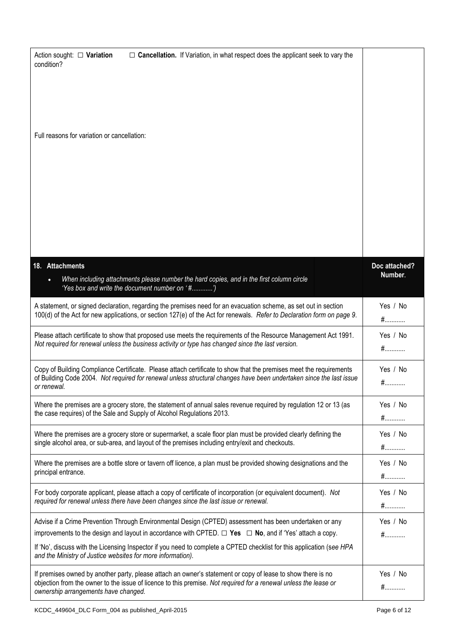| $\Box$ Cancellation. If Variation, in what respect does the applicant seek to vary the<br>Action sought: $\Box$ Variation<br>condition?                                                                                                                                 |                          |
|-------------------------------------------------------------------------------------------------------------------------------------------------------------------------------------------------------------------------------------------------------------------------|--------------------------|
| Full reasons for variation or cancellation:                                                                                                                                                                                                                             |                          |
| 18. Attachments<br>When including attachments please number the hard copies, and in the first column circle<br>'Yes box and write the document number on '#')                                                                                                           | Doc attached?<br>Number. |
| A statement, or signed declaration, regarding the premises need for an evacuation scheme, as set out in section<br>100(d) of the Act for new applications, or section 127(e) of the Act for renewals. Refer to Declaration form on page 9.                              | Yes / No<br>$#$          |
| Please attach certificate to show that proposed use meets the requirements of the Resource Management Act 1991.<br>Not required for renewal unless the business activity or type has changed since the last version.                                                    | Yes / No<br>$#$          |
| Copy of Building Compliance Certificate. Please attach certificate to show that the premises meet the requirements<br>of Building Code 2004. Not required for renewal unless structural changes have been undertaken since the last issue<br>or renewal.                | Yes / No<br>#            |
| Where the premises are a grocery store, the statement of annual sales revenue required by regulation 12 or 13 (as<br>the case requires) of the Sale and Supply of Alcohol Regulations 2013.                                                                             | Yes / No<br>$#$          |
| Where the premises are a grocery store or supermarket, a scale floor plan must be provided clearly defining the<br>single alcohol area, or sub-area, and layout of the premises including entry/exit and checkouts.                                                     | Yes / No<br>$#$          |
| Where the premises are a bottle store or tavern off licence, a plan must be provided showing designations and the<br>principal entrance.                                                                                                                                | Yes / No<br>$#$          |
| For body corporate applicant, please attach a copy of certificate of incorporation (or equivalent document). Not<br>required for renewal unless there have been changes since the last issue or renewal.                                                                | Yes / No<br>$#$          |
| Advise if a Crime Prevention Through Environmental Design (CPTED) assessment has been undertaken or any                                                                                                                                                                 | Yes / No                 |
| improvements to the design and layout in accordance with CPTED. $\Box$ Yes $\Box$ No, and if 'Yes' attach a copy.                                                                                                                                                       | $#$                      |
| If 'No', discuss with the Licensing Inspector if you need to complete a CPTED checklist for this application (see HPA<br>and the Ministry of Justice websites for more information).                                                                                    |                          |
| If premises owned by another party, please attach an owner's statement or copy of lease to show there is no<br>objection from the owner to the issue of licence to this premise. Not required for a renewal unless the lease or<br>ownership arrangements have changed. | Yes / No<br>#            |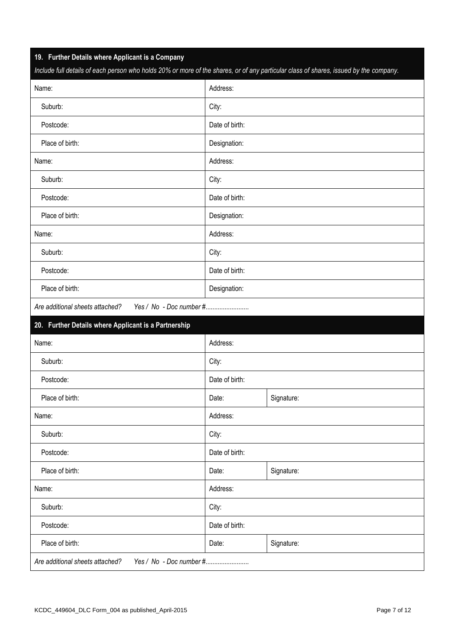| 19. Further Details where Applicant is a Company<br>Include full details of each person who holds 20% or more of the shares, or of any particular class of shares, issued by the company. |                |            |  |
|-------------------------------------------------------------------------------------------------------------------------------------------------------------------------------------------|----------------|------------|--|
| Name:                                                                                                                                                                                     | Address:       |            |  |
| Suburb:                                                                                                                                                                                   | City:          |            |  |
| Postcode:                                                                                                                                                                                 | Date of birth: |            |  |
| Place of birth:                                                                                                                                                                           | Designation:   |            |  |
| Name:                                                                                                                                                                                     | Address:       |            |  |
| Suburb:                                                                                                                                                                                   | City:          |            |  |
| Postcode:                                                                                                                                                                                 | Date of birth: |            |  |
| Place of birth:                                                                                                                                                                           | Designation:   |            |  |
| Name:                                                                                                                                                                                     | Address:       |            |  |
| Suburb:                                                                                                                                                                                   | City:          |            |  |
| Postcode:                                                                                                                                                                                 | Date of birth: |            |  |
| Place of birth:                                                                                                                                                                           | Designation:   |            |  |
| Are additional sheets attached?<br>Yes / No - Doc number #                                                                                                                                |                |            |  |
| 20. Further Details where Applicant is a Partnership                                                                                                                                      |                |            |  |
| Name:                                                                                                                                                                                     | Address:       |            |  |
| Suburb:                                                                                                                                                                                   | City:          |            |  |
| Postcode:                                                                                                                                                                                 | Date of birth: |            |  |
| Place of birth:                                                                                                                                                                           | Date:          | Signature: |  |
| Name:                                                                                                                                                                                     | Address:       |            |  |
| Suburb:                                                                                                                                                                                   | City:          |            |  |
| Postcode:                                                                                                                                                                                 | Date of birth: |            |  |
| Place of birth:                                                                                                                                                                           | Date:          | Signature: |  |
| Name:                                                                                                                                                                                     | Address:       |            |  |
| Suburb:                                                                                                                                                                                   | City:          |            |  |
| Postcode:                                                                                                                                                                                 | Date of birth: |            |  |
| Place of birth:                                                                                                                                                                           | Date:          | Signature: |  |
| Yes / No - Doc number #<br>Are additional sheets attached?                                                                                                                                |                |            |  |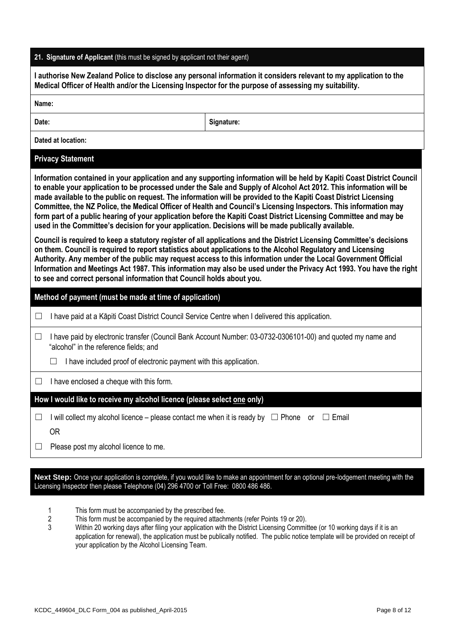|  | 21. Signature of Applicant (this must be signed by applicant not their agent) |  |  |
|--|-------------------------------------------------------------------------------|--|--|
|  |                                                                               |  |  |

|        | Medical Officer of Health and/or the Licensing Inspector for the purpose of assessing my suitability.                                                                        | I authorise New Zealand Police to disclose any personal information it considers relevant to my application to the                                                                                                                                                                                                                                                                                                                                                                                                                                                                                                                                                                                                                                                                                                                                                                                                                                                                                                                                                                          |
|--------|------------------------------------------------------------------------------------------------------------------------------------------------------------------------------|---------------------------------------------------------------------------------------------------------------------------------------------------------------------------------------------------------------------------------------------------------------------------------------------------------------------------------------------------------------------------------------------------------------------------------------------------------------------------------------------------------------------------------------------------------------------------------------------------------------------------------------------------------------------------------------------------------------------------------------------------------------------------------------------------------------------------------------------------------------------------------------------------------------------------------------------------------------------------------------------------------------------------------------------------------------------------------------------|
| Name:  |                                                                                                                                                                              |                                                                                                                                                                                                                                                                                                                                                                                                                                                                                                                                                                                                                                                                                                                                                                                                                                                                                                                                                                                                                                                                                             |
| Date:  |                                                                                                                                                                              | Signature:                                                                                                                                                                                                                                                                                                                                                                                                                                                                                                                                                                                                                                                                                                                                                                                                                                                                                                                                                                                                                                                                                  |
|        | Dated at location:                                                                                                                                                           |                                                                                                                                                                                                                                                                                                                                                                                                                                                                                                                                                                                                                                                                                                                                                                                                                                                                                                                                                                                                                                                                                             |
|        | <b>Privacy Statement</b>                                                                                                                                                     |                                                                                                                                                                                                                                                                                                                                                                                                                                                                                                                                                                                                                                                                                                                                                                                                                                                                                                                                                                                                                                                                                             |
|        | used in the Committee's decision for your application. Decisions will be made publically available.<br>to see and correct personal information that Council holds about you. | Information contained in your application and any supporting information will be held by Kapiti Coast District Council<br>to enable your application to be processed under the Sale and Supply of Alcohol Act 2012. This information will be<br>made available to the public on request. The information will be provided to the Kapiti Coast District Licensing<br>Committee, the NZ Police, the Medical Officer of Health and Council's Licensing Inspectors. This information may<br>form part of a public hearing of your application before the Kapiti Coast District Licensing Committee and may be<br>Council is required to keep a statutory register of all applications and the District Licensing Committee's decisions<br>on them. Council is required to report statistics about applications to the Alcohol Regulatory and Licensing<br>Authority. Any member of the public may request access to this information under the Local Government Official<br>Information and Meetings Act 1987. This information may also be used under the Privacy Act 1993. You have the right |
|        | Method of payment (must be made at time of application)                                                                                                                      |                                                                                                                                                                                                                                                                                                                                                                                                                                                                                                                                                                                                                                                                                                                                                                                                                                                                                                                                                                                                                                                                                             |
| ⊔      | I have paid at a Kāpiti Coast District Council Service Centre when I delivered this application.                                                                             |                                                                                                                                                                                                                                                                                                                                                                                                                                                                                                                                                                                                                                                                                                                                                                                                                                                                                                                                                                                                                                                                                             |
| $\Box$ | "alcohol" in the reference fields; and                                                                                                                                       | I have paid by electronic transfer (Council Bank Account Number: 03-0732-0306101-00) and quoted my name and                                                                                                                                                                                                                                                                                                                                                                                                                                                                                                                                                                                                                                                                                                                                                                                                                                                                                                                                                                                 |
|        | I have included proof of electronic payment with this application.<br>П                                                                                                      |                                                                                                                                                                                                                                                                                                                                                                                                                                                                                                                                                                                                                                                                                                                                                                                                                                                                                                                                                                                                                                                                                             |
| $\Box$ | I have enclosed a cheque with this form.                                                                                                                                     |                                                                                                                                                                                                                                                                                                                                                                                                                                                                                                                                                                                                                                                                                                                                                                                                                                                                                                                                                                                                                                                                                             |
|        | How I would like to receive my alcohol licence (please select one only)                                                                                                      |                                                                                                                                                                                                                                                                                                                                                                                                                                                                                                                                                                                                                                                                                                                                                                                                                                                                                                                                                                                                                                                                                             |
|        | I will collect my alcohol licence – please contact me when it is ready by $\Box$ Phone or<br><b>OR</b>                                                                       | $\Box$ Email                                                                                                                                                                                                                                                                                                                                                                                                                                                                                                                                                                                                                                                                                                                                                                                                                                                                                                                                                                                                                                                                                |
|        | Please post my alcohol licence to me.                                                                                                                                        |                                                                                                                                                                                                                                                                                                                                                                                                                                                                                                                                                                                                                                                                                                                                                                                                                                                                                                                                                                                                                                                                                             |

**Next Step:** Once your application is complete, if you would like to make an appointment for an optional pre-lodgement meeting with the Licensing Inspector then please Telephone (04) 296 4700 or Toll Free: 0800 486 486.

- 1 This form must be accompanied by the prescribed fee.<br>2 This form must be accompanied by the required attach
- 2 This form must be accompanied by the required attachments (refer Points 19 or 20).<br>3 Within 20 working days after filing your application with the District Licensing Commit
- Within 20 working days after filing your application with the District Licensing Committee (or 10 working days if it is an application for renewal), the application must be publically notified. The public notice template will be provided on receipt of your application by the Alcohol Licensing Team.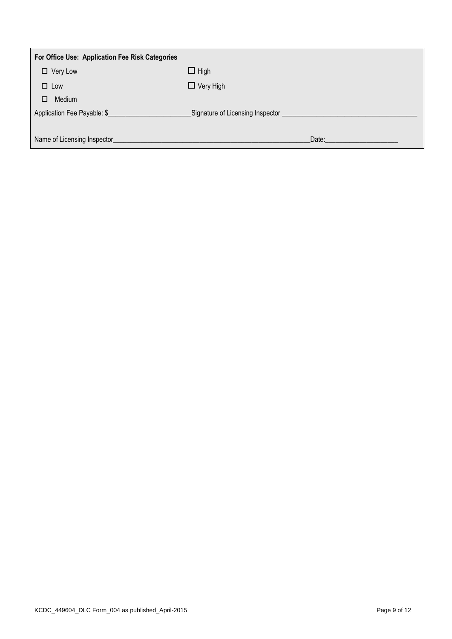| For Office Use: Application Fee Risk Categories |                                             |
|-------------------------------------------------|---------------------------------------------|
| $\Box$ Very Low                                 | $\Box$ High                                 |
| $\Box$ Low                                      | $\Box$ Very High                            |
| Medium<br>□                                     |                                             |
| Application Fee Payable: \$                     | Signature of Licensing Inspector __________ |
|                                                 |                                             |
| Name of Licensing Inspector_                    | Date:                                       |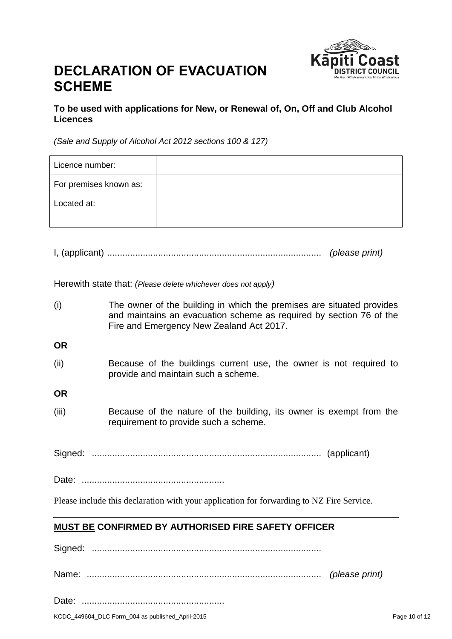

### **DECLARATION OF EVACUATION SCHEME**

#### **To be used with applications for New, or Renewal of, On, Off and Club Alcohol Licences**

*(Sale and Supply of Alcohol Act 2012 sections 100 & 127)*

| Licence number:        |  |
|------------------------|--|
| For premises known as: |  |
| Located at:            |  |

I, (applicant) .................................................................................... *(please print)*

Herewith state that: *(Please delete whichever does not apply)*

(i) The owner of the building in which the premises are situated provides and maintains an evacuation scheme as required by section 76 of the Fire and Emergency New Zealand Act 2017.

**OR**

(ii) Because of the buildings current use, the owner is not required to provide and maintain such a scheme.

**OR**

(iii) Because of the nature of the building, its owner is exempt from the requirement to provide such a scheme.

Signed: .......................................................................................... (applicant)

Date: ........................................................

Please include this declaration with your application for forwarding to NZ Fire Service.

#### **MUST BE CONFIRMED BY AUTHORISED FIRE SAFETY OFFICER**

Signed: ..........................................................................................

Name: ............................................................................................ *(please print)*

Date: ........................................................

KCDC\_449604\_DLC Form\_004 as published\_April-2015 Page 10 of 12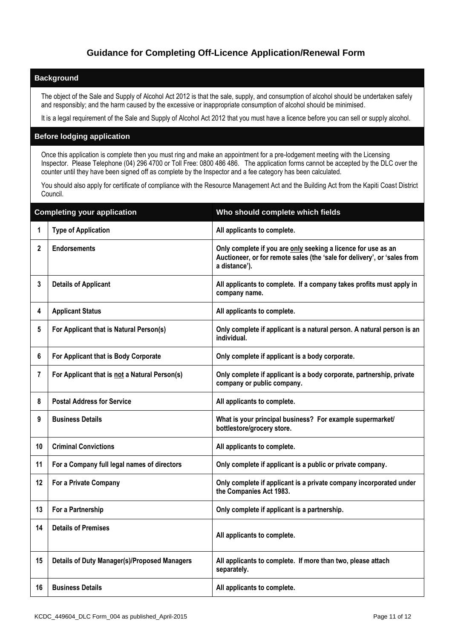#### **Guidance for Completing Off-Licence Application/Renewal Form**

#### **Background**

The object of the Sale and Supply of Alcohol Act 2012 is that the sale, supply, and consumption of alcohol should be undertaken safely and responsibly; and the harm caused by the excessive or inappropriate consumption of alcohol should be minimised.

It is a legal requirement of the Sale and Supply of Alcohol Act 2012 that you must have a licence before you can sell or supply alcohol.

#### **Before lodging application**

Once this application is complete then you must ring and make an appointment for a pre-lodgement meeting with the Licensing Inspector. Please Telephone (04) 296 4700 or Toll Free: 0800 486 486. The application forms cannot be accepted by the DLC over the counter until they have been signed off as complete by the Inspector and a fee category has been calculated.

You should also apply for certificate of compliance with the Resource Management Act and the Building Act from the Kapiti Coast District Council.

| <b>Completing your application</b> |                                                     | Who should complete which fields                                                                                                                           |
|------------------------------------|-----------------------------------------------------|------------------------------------------------------------------------------------------------------------------------------------------------------------|
| 1                                  | <b>Type of Application</b>                          | All applicants to complete.                                                                                                                                |
| $\mathbf 2$                        | <b>Endorsements</b>                                 | Only complete if you are only seeking a licence for use as an<br>Auctioneer, or for remote sales (the 'sale for delivery', or 'sales from<br>a distance'). |
| 3                                  | <b>Details of Applicant</b>                         | All applicants to complete. If a company takes profits must apply in<br>company name.                                                                      |
| 4                                  | <b>Applicant Status</b>                             | All applicants to complete.                                                                                                                                |
| 5                                  | For Applicant that is Natural Person(s)             | Only complete if applicant is a natural person. A natural person is an<br>individual.                                                                      |
| 6                                  | For Applicant that is Body Corporate                | Only complete if applicant is a body corporate.                                                                                                            |
| 7                                  | For Applicant that is not a Natural Person(s)       | Only complete if applicant is a body corporate, partnership, private<br>company or public company.                                                         |
| 8                                  | <b>Postal Address for Service</b>                   | All applicants to complete.                                                                                                                                |
| 9                                  | <b>Business Details</b>                             | What is your principal business? For example supermarket/<br>bottlestore/grocery store.                                                                    |
| 10                                 | <b>Criminal Convictions</b>                         | All applicants to complete.                                                                                                                                |
| 11                                 | For a Company full legal names of directors         | Only complete if applicant is a public or private company.                                                                                                 |
| 12                                 | For a Private Company                               | Only complete if applicant is a private company incorporated under<br>the Companies Act 1983.                                                              |
| 13                                 | For a Partnership                                   | Only complete if applicant is a partnership.                                                                                                               |
| 14                                 | <b>Details of Premises</b>                          | All applicants to complete.                                                                                                                                |
| 15                                 | <b>Details of Duty Manager(s)/Proposed Managers</b> | All applicants to complete. If more than two, please attach<br>separately.                                                                                 |
| 16                                 | <b>Business Details</b>                             | All applicants to complete.                                                                                                                                |